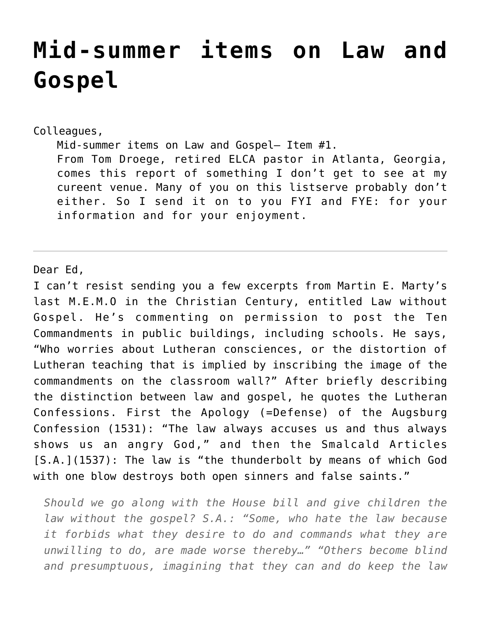## **[Mid-summer items on Law and](https://crossings.org/mid-summer-items-on-law-and-gospel/) [Gospel](https://crossings.org/mid-summer-items-on-law-and-gospel/)**

## Colleagues,

Mid-summer items on Law and Gospel– Item #1. From Tom Droege, retired ELCA pastor in Atlanta, Georgia, comes this report of something I don't get to see at my cureent venue. Many of you on this listserve probably don't either. So I send it on to you FYI and FYE: for your information and for your enjoyment.

## Dear Ed,

I can't resist sending you a few excerpts from Martin E. Marty's last M.E.M.O in the Christian Century, entitled Law without Gospel. He's commenting on permission to post the Ten Commandments in public buildings, including schools. He says, "Who worries about Lutheran consciences, or the distortion of Lutheran teaching that is implied by inscribing the image of the commandments on the classroom wall?" After briefly describing the distinction between law and gospel, he quotes the Lutheran Confessions. First the Apology (=Defense) of the Augsburg Confession (1531): "The law always accuses us and thus always shows us an angry God," and then the Smalcald Articles [S.A.](1537): The law is "the thunderbolt by means of which God with one blow destroys both open sinners and false saints."

*Should we go along with the House bill and give children the law without the gospel? S.A.: "Some, who hate the law because it forbids what they desire to do and commands what they are unwilling to do, are made worse thereby…" "Others become blind and presumptuous, imagining that they can and do keep the law*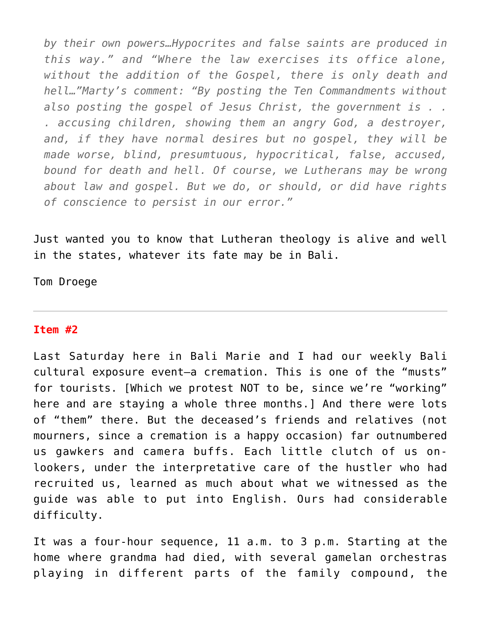*by their own powers…Hypocrites and false saints are produced in this way." and "Where the law exercises its office alone, without the addition of the Gospel, there is only death and hell…"Marty's comment: "By posting the Ten Commandments without also posting the gospel of Jesus Christ, the government is . . . accusing children, showing them an angry God, a destroyer, and, if they have normal desires but no gospel, they will be made worse, blind, presumtuous, hypocritical, false, accused, bound for death and hell. Of course, we Lutherans may be wrong about law and gospel. But we do, or should, or did have rights of conscience to persist in our error."*

Just wanted you to know that Lutheran theology is alive and well in the states, whatever its fate may be in Bali.

Tom Droege

## **Item #2**

Last Saturday here in Bali Marie and I had our weekly Bali cultural exposure event–a cremation. This is one of the "musts" for tourists. [Which we protest NOT to be, since we're "working" here and are staying a whole three months.] And there were lots of "them" there. But the deceased's friends and relatives (not mourners, since a cremation is a happy occasion) far outnumbered us gawkers and camera buffs. Each little clutch of us onlookers, under the interpretative care of the hustler who had recruited us, learned as much about what we witnessed as the guide was able to put into English. Ours had considerable difficulty.

It was a four-hour sequence, 11 a.m. to 3 p.m. Starting at the home where grandma had died, with several gamelan orchestras playing in different parts of the family compound, the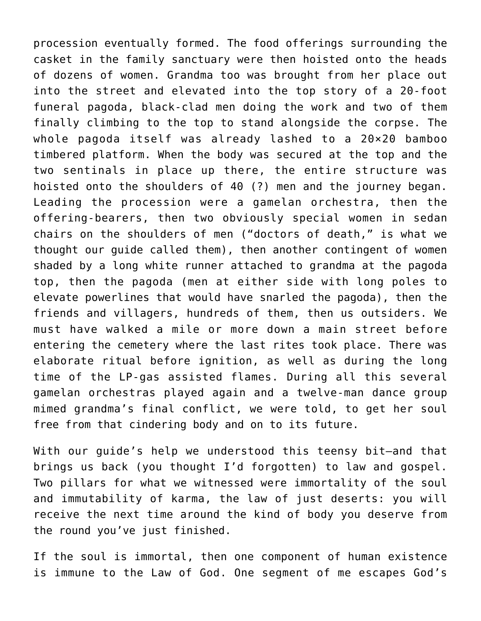procession eventually formed. The food offerings surrounding the casket in the family sanctuary were then hoisted onto the heads of dozens of women. Grandma too was brought from her place out into the street and elevated into the top story of a 20-foot funeral pagoda, black-clad men doing the work and two of them finally climbing to the top to stand alongside the corpse. The whole pagoda itself was already lashed to a 20×20 bamboo timbered platform. When the body was secured at the top and the two sentinals in place up there, the entire structure was hoisted onto the shoulders of 40 (?) men and the journey began. Leading the procession were a gamelan orchestra, then the offering-bearers, then two obviously special women in sedan chairs on the shoulders of men ("doctors of death," is what we thought our guide called them), then another contingent of women shaded by a long white runner attached to grandma at the pagoda top, then the pagoda (men at either side with long poles to elevate powerlines that would have snarled the pagoda), then the friends and villagers, hundreds of them, then us outsiders. We must have walked a mile or more down a main street before entering the cemetery where the last rites took place. There was elaborate ritual before ignition, as well as during the long time of the LP-gas assisted flames. During all this several gamelan orchestras played again and a twelve-man dance group mimed grandma's final conflict, we were told, to get her soul free from that cindering body and on to its future.

With our guide's help we understood this teensy bit–and that brings us back (you thought I'd forgotten) to law and gospel. Two pillars for what we witnessed were immortality of the soul and immutability of karma, the law of just deserts: you will receive the next time around the kind of body you deserve from the round you've just finished.

If the soul is immortal, then one component of human existence is immune to the Law of God. One segment of me escapes God's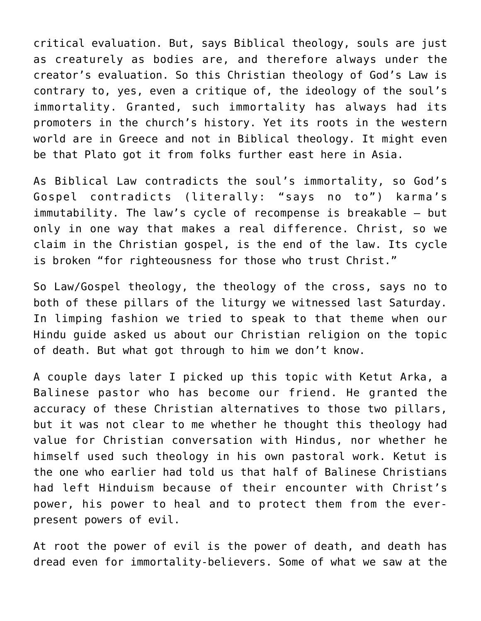critical evaluation. But, says Biblical theology, souls are just as creaturely as bodies are, and therefore always under the creator's evaluation. So this Christian theology of God's Law is contrary to, yes, even a critique of, the ideology of the soul's immortality. Granted, such immortality has always had its promoters in the church's history. Yet its roots in the western world are in Greece and not in Biblical theology. It might even be that Plato got it from folks further east here in Asia.

As Biblical Law contradicts the soul's immortality, so God's Gospel contradicts (literally: "says no to") karma's immutability. The law's cycle of recompense is breakable — but only in one way that makes a real difference. Christ, so we claim in the Christian gospel, is the end of the law. Its cycle is broken "for righteousness for those who trust Christ."

So Law/Gospel theology, the theology of the cross, says no to both of these pillars of the liturgy we witnessed last Saturday. In limping fashion we tried to speak to that theme when our Hindu guide asked us about our Christian religion on the topic of death. But what got through to him we don't know.

A couple days later I picked up this topic with Ketut Arka, a Balinese pastor who has become our friend. He granted the accuracy of these Christian alternatives to those two pillars, but it was not clear to me whether he thought this theology had value for Christian conversation with Hindus, nor whether he himself used such theology in his own pastoral work. Ketut is the one who earlier had told us that half of Balinese Christians had left Hinduism because of their encounter with Christ's power, his power to heal and to protect them from the everpresent powers of evil.

At root the power of evil is the power of death, and death has dread even for immortality-believers. Some of what we saw at the